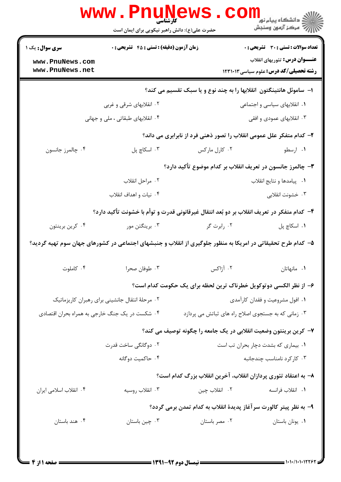|                                                | www.Pnun<br><b>کارشناسی</b><br>حضرت علی(ع): دانش راهبر نیکویی برای ایمان است               |                                                                                                             | ڪ دانشڪاه پيا <sub>م</sub> نور<br>۾ مرڪز آزمون وسنجش |  |  |
|------------------------------------------------|--------------------------------------------------------------------------------------------|-------------------------------------------------------------------------------------------------------------|------------------------------------------------------|--|--|
| <b>سری سوال :</b> یک ۱                         | <b>زمان آزمون (دقیقه) : تستی : 45 گشریحی : 0</b>                                           |                                                                                                             | تعداد سوالات : تستي : 30 - تشريحي : 0                |  |  |
| www.PnuNews.com                                |                                                                                            |                                                                                                             | <b>عنـــوان درس:</b> تئوریهای انقلاب                 |  |  |
| www.PnuNews.net                                |                                                                                            |                                                                                                             | <b>رشته تحصیلی/کد درس: علوم سیاسی ۱۲۳۱۰۱۳</b>        |  |  |
|                                                |                                                                                            | ا– ساموئل هانتینگتون انقلابها را به چند نوع و یا سبک تقسیم می کند؟                                          |                                                      |  |  |
|                                                | ۰۲ انقلابهای شرقی و غربی                                                                   | ۰۱ انقلابهای سیاسی و اجتماعی                                                                                |                                                      |  |  |
|                                                | ۰۴ انقلابهای طبقاتی ، ملی و جهانی                                                          |                                                                                                             | ۰۳ انقلابهای عمودی و افقی                            |  |  |
|                                                |                                                                                            | ۲- کدام متفکر علل عمومی انقلاب را تصور ذهنی فرد از نابرابری می داند؟                                        |                                                      |  |  |
| ۰۴ چالمرز جانسون                               | ۰۳ اسکاچ پل                                                                                | ۰۲ کارل مارکس                                                                                               | ۰۱ ارسطو                                             |  |  |
|                                                |                                                                                            | ۳- چالمرز جانسون در تعریف انقلاب بر کدام موضوع تأکید دارد؟                                                  |                                                      |  |  |
|                                                | ٠٢ مراحل انقلاب                                                                            |                                                                                                             | ٠١. پيامدها و نتايج انقلاب                           |  |  |
|                                                | ۰۴ نیات و اهداف انقلاب                                                                     |                                                                                                             | ۰۳ خشونت انقلابی                                     |  |  |
|                                                | ۴– کدام متفکر در تعریف انقلاب بر دو بُعد انتقال غیرقانونی قدرت و توأم با خشونت تأکید دارد؟ |                                                                                                             |                                                      |  |  |
| ۰۴ کرين برينتون                                | ۰۳ برینگتن مور                                                                             | ۰۲ رابرت گر                                                                                                 | ۰۱ اسکاچ پل                                          |  |  |
|                                                |                                                                                            | ۵– کدام طرح تحقیقاتی در امریکا به منظور جلوگیری از انقلاب و جنبشهای اجتماعی در کشورهای جهان سوم تهیه گردید؟ |                                                      |  |  |
| ۰۴ کاملوت                                      | ۰۳ طوفان صحرا                                                                              | ۰۲ آژاکس                                                                                                    | ٠١. مانهاتان                                         |  |  |
|                                                |                                                                                            | ۶- از نظر الکسی دوتوکویل خطرناک ترین لحظه برای یک حکومت کدام است؟                                           |                                                      |  |  |
|                                                | ۰۲ مرحلهٔ انتقال جانشینی برای رهبران کاریزماتیک                                            | ۰۱ افول مشروعیت و فقدان کارآمدی                                                                             |                                                      |  |  |
| ۰۴ شکست در یک جنگ خارجی به همراه بحران اقتصادی |                                                                                            | ۰۳ زمانی که به جستجوی اصلاح راه های ثباتش می پردازد                                                         |                                                      |  |  |
|                                                |                                                                                            | ۷– کرین برینتون وضعیت انقلابی در یک جامعه را چگونه توصیف می کند؟                                            |                                                      |  |  |
|                                                | ۰۲ دوگانگی ساخت قدرت                                                                       | ٠١ بيماري كه بشدت دچار بحران تب است                                                                         |                                                      |  |  |
|                                                | ۰۴ حاكميت دوگانه                                                                           |                                                                                                             | ۰۳ کارکرد نامناسب چندجانبه                           |  |  |
|                                                |                                                                                            | ۸– به اعتقاد تئوری پردازان انقلاب، آخرین انقلاب بزرگ کدام است؟                                              |                                                      |  |  |
| ۰۴ انقلاب اسلامی ایران                         | ۰۳ انقلاب روسيه                                                                            | ۰۲ انقلاب چين                                                                                               | ٠١. انقلاب فرانسه                                    |  |  |
|                                                |                                                                                            | ۹– به نظر پیتر کالورت سر آغاز پدیدهٔ انقلاب به کدام تمدن برمی گردد؟                                         |                                                      |  |  |
| ۰۴ هند باستان                                  | ۰۳ چین باستان                                                                              | ۰۲ مصر باستان                                                                                               | ٠١ يونان باستان                                      |  |  |
|                                                |                                                                                            |                                                                                                             |                                                      |  |  |
|                                                |                                                                                            |                                                                                                             |                                                      |  |  |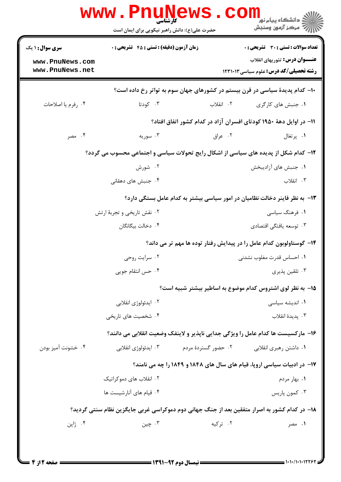|                                                                                     | <b>www . Phur</b><br><b>کارشناسی</b><br>حضرت علی(ع): دانش راهبر نیکویی برای ایمان است | <b>IEWS</b>                                                                                  | د دانشگاه پيام نو <mark>ر</mark><br>رآ مرڪز آزمون وسنڊش                                                                               |  |  |  |
|-------------------------------------------------------------------------------------|---------------------------------------------------------------------------------------|----------------------------------------------------------------------------------------------|---------------------------------------------------------------------------------------------------------------------------------------|--|--|--|
| <b>سری سوال : ۱ یک</b><br>www.PnuNews.com<br>www.PnuNews.net                        | <b>زمان آزمون (دقیقه) : تستی : 45 قشریحی : 0</b>                                      |                                                                                              | <b>تعداد سوالات : تستي : 30 ٪ تشريحي : 0</b><br><b>عنـــوان درس:</b> تئوریهای انقلاب<br><b>رشته تحصیلی/کد درس:</b> علوم سیاسی ۱۲۳۱۰۱۳ |  |  |  |
|                                                                                     | ∙۱− کدام پدیدهٔ سیاسی در قرن بیستم در کشورهای جهان سوم به تواتر رخ داده است؟          |                                                                                              |                                                                                                                                       |  |  |  |
| ۰۴ رفرم یا اصلاحات                                                                  | ۰۳ کودتا                                                                              | ۲. انقلاب                                                                                    | ۰۱ جنبش های کارگری                                                                                                                    |  |  |  |
|                                                                                     |                                                                                       | ۱۱– در اوایل دههٔ ۱۹۵۰ کودتای افسران آزاد در کدام کشور اتفاق افتاد؟                          |                                                                                                                                       |  |  |  |
| ۰۴ مصر                                                                              | ۰۳ سوریه                                                                              | ۰۲ عراق                                                                                      | ۰۱ پرتغال                                                                                                                             |  |  |  |
| ۱۲- کدام شکل از پدیده های سیاسی از اشکال رایج تحولات سیاسی و اجتماعی محسوب می گردد؟ |                                                                                       |                                                                                              |                                                                                                                                       |  |  |  |
|                                                                                     | ۰۲ شورش                                                                               |                                                                                              | ۰۱ جنبش های آزادیبخش                                                                                                                  |  |  |  |
|                                                                                     | ۰۴ جنبش های دهقانی                                                                    |                                                                                              | ۰۳ انقلاب                                                                                                                             |  |  |  |
|                                                                                     |                                                                                       | ۱۳- به نظر فاینر دخالت نظامیان در امور سیاسی بیشتر به کدام عامل بستگی دارد؟                  |                                                                                                                                       |  |  |  |
|                                                                                     | ۰۲ نقش تاریخی و تجربهٔ ارتش                                                           |                                                                                              | ۰۱ فرهنگ سیاسی                                                                                                                        |  |  |  |
|                                                                                     | ۰۴ دخالت بیگانگان                                                                     |                                                                                              | ۰۳ توسعه يافتگى اقتصادى                                                                                                               |  |  |  |
|                                                                                     |                                                                                       | ۱۴– گوستاولوبون کدام عامل را در پیدایش رفتار توده ها مهم تر می داند؟                         |                                                                                                                                       |  |  |  |
|                                                                                     | ۰۲ سرایت روحی                                                                         |                                                                                              | ۰۱ احساس قدرت مغلوب نشدنی                                                                                                             |  |  |  |
|                                                                                     | ۰۴ حس انتقام جويي                                                                     |                                                                                              | ۰۳ تلقين پذيري                                                                                                                        |  |  |  |
|                                                                                     |                                                                                       | ۱۵– به نظر لوی اشتروس کدام موضوع به اساطیر بیشتر شبیه است؟                                   |                                                                                                                                       |  |  |  |
|                                                                                     | ۰۲ ایدئولوژی انقلابی                                                                  |                                                                                              | ۰۱ اندیشه سیاسی                                                                                                                       |  |  |  |
|                                                                                     | ۰۴ شخصیت های تاریخی                                                                   |                                                                                              | ۰۳ يديدۀ انقلاب                                                                                                                       |  |  |  |
|                                                                                     |                                                                                       | ۱۶- مارکسیست ها کدام عامل را ویژگی جدایی ناپذیر و لاینفک وضعیت انقلابی می دانند؟             |                                                                                                                                       |  |  |  |
| ۰۴ خشونت آميز بودن                                                                  | ۰۳ ایدئولوژی انقلابی                                                                  | ۰۲ حضور گستردهٔ مردم                                                                         | ۰۱ داشتن رهبری انقلابی                                                                                                                |  |  |  |
|                                                                                     | ۱۷- در ادبیات سیاسی اروپا، قیام های سال های ۱۸۴۸ و ۱۸۴۹ را چه می نامند؟               |                                                                                              |                                                                                                                                       |  |  |  |
|                                                                                     | ۰۲ انقلاب های دموکراتیک                                                               |                                                                                              | ۰۱ بهار مردم                                                                                                                          |  |  |  |
|                                                                                     | ۰۴ قیام های آنارشیست ها                                                               |                                                                                              | ۰۳ کمون پاریس                                                                                                                         |  |  |  |
|                                                                                     |                                                                                       | ۱۸– در کدام کشور به اصرار متفقین بعد از جنگ جهانی دوم دموکراسی غربی جایگزین نظام سنتی گردید؟ |                                                                                                                                       |  |  |  |
| ۰۴ ژاپن                                                                             | ۰۳ چين                                                                                | ۰۲ ترکیه                                                                                     | ۰۱ مصر                                                                                                                                |  |  |  |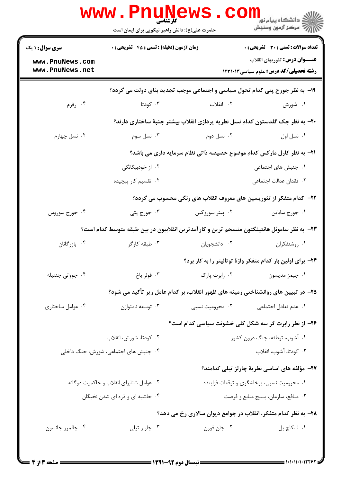|                                                              | <b>www.Pnunews</b><br>حضرت علی(ع): دانش راهبر نیکویی برای ایمان است                        |                                                                                   | د دانشگاه پیام نور<br>ا∛ مرکز آزمون وسنجش                                                                                      |  |  |
|--------------------------------------------------------------|--------------------------------------------------------------------------------------------|-----------------------------------------------------------------------------------|--------------------------------------------------------------------------------------------------------------------------------|--|--|
| <b>سری سوال : ۱ یک</b><br>www.PnuNews.com<br>www.PnuNews.net | زمان آزمون (دقیقه) : تستی : 45 آتشریحی : 0                                                 |                                                                                   | تعداد سوالات : تستى : 30 ٪ تشريحي : 0<br><b>عنـــوان درس:</b> تئوریهای انقلاب<br><b>رشته تحصیلی/کد درس:</b> علوم سیاسی ۱۲۳۱۰۱۳ |  |  |
|                                                              | ۱۹- به نظر جورج پتی کدام تحول سیاسی و اجتماعی موجب تجدید بنای دولت می گردد؟                |                                                                                   |                                                                                                                                |  |  |
| ۰۴ رفرم                                                      | ۰۳ کودتا                                                                                   | ۰۲ انقلاب                                                                         | ۰۱ شورش                                                                                                                        |  |  |
|                                                              |                                                                                            | +۲- به نظر جک گلدستون کدام نسل نظریه پردازی انقلاب بیشتر جنبهٔ ساختاری دارند؟     |                                                                                                                                |  |  |
| ۰۴ نسل چهارم                                                 | ۰۳ نسل سوم                                                                                 | ۰۲ نسل دوم                                                                        | ٠١. نسل اول                                                                                                                    |  |  |
|                                                              | <b>۲۱</b> - به نظر کارل مارکس کدام موضوع خصیصه ذاتی نظام سرمایه داری می باشد؟              |                                                                                   |                                                                                                                                |  |  |
|                                                              | ۰۲ از خودبیگانگی                                                                           |                                                                                   | ۰۱ جنبش های اجتماعی                                                                                                            |  |  |
|                                                              | ۰۴ تقسیم کار پیچیده                                                                        |                                                                                   | ٠٣ فقدان عدالت اجتماعي                                                                                                         |  |  |
|                                                              |                                                                                            | ۲۲– کدام متفکر از تئوریسین های معروف انقلاب های رنگی محسوب می گردد؟               |                                                                                                                                |  |  |
| ۰۴ جورج سوروس                                                | ۰۳ جورج پتی                                                                                | ۰۲ پیتر سوروکین                                                                   | ٠١ جورج ساباين                                                                                                                 |  |  |
|                                                              | ۲۳– به نظر ساموئل هانتینگتون منسجم ترین و کارآمدترین انقلابیون در بین طبقه متوسط کدام است؟ |                                                                                   |                                                                                                                                |  |  |
| ۰۴ بازرگانان                                                 | ۰۳ طبقه کارگر                                                                              | ۰۲ دانشجويان                                                                      | ۰۱ روشنفکران                                                                                                                   |  |  |
|                                                              |                                                                                            |                                                                                   | ۲۴- برای اولین بار کدام متفکر واژهٔ توتالیتر را به کار برد؟                                                                    |  |  |
| ۰۴ جوواني جنتيله                                             | ۰۳ فوئر باخ                                                                                | ٠٢ رابرت پارک                                                                     | ٠١ جيمز مديسون                                                                                                                 |  |  |
|                                                              |                                                                                            | ۲۵– در تبیین های روانشناختی زمینه های ظهور انقلاب، بر کدام عامل زیر تأکید می شود؟ |                                                                                                                                |  |  |
| ۰۴ عوامل ساختاری                                             | ۰۳ توسعه نامتوازن                                                                          | ۰۲ محرومیت نسبی                                                                   | ۰۱ عدم تعادل اجتماعی                                                                                                           |  |  |
|                                                              |                                                                                            | ۲۶– از نظر رابرت گر سه شکل کلی خشونت سیاسی کدام است؟                              |                                                                                                                                |  |  |
|                                                              | ۰۲ کودتا، شورش، انقلاب                                                                     |                                                                                   | ۰۱ آشوب، توطئه، جنگ درون کشور                                                                                                  |  |  |
| ۰۴ جنبش های اجتماعی، شورش، جنگ داخلی                         |                                                                                            |                                                                                   | ۰۳ کودتا، آشوب، انقلاب                                                                                                         |  |  |
|                                                              |                                                                                            |                                                                                   | ۲۷- مؤلفه های اساسی نظریهٔ چارلز تیلی کدامند؟                                                                                  |  |  |
| ۰۲ عوامل شتابزای انقلاب و حاکمیت دوگانه                      |                                                                                            | ۰۱ محرومیت نسبی، پرخاشگری و توقعات فزاینده                                        |                                                                                                                                |  |  |
|                                                              | ۰۴ حاشیه ای و ذره ای شدن نخبگان                                                            |                                                                                   | ۰۳ منافع، سازمان، بسيج منابع و فرصت                                                                                            |  |  |
|                                                              |                                                                                            | ۲۸- به نظر کدام متفکر، انقلاب در جوامع دیوان سالاری رخ می دهد؟                    |                                                                                                                                |  |  |
| ۰۴ چالمرز جانسون                                             | ۰۳ چارلز تیلی                                                                              | ۰۲ جان فورن                                                                       | ۰۱ اسکاچ پل                                                                                                                    |  |  |
|                                                              |                                                                                            |                                                                                   |                                                                                                                                |  |  |